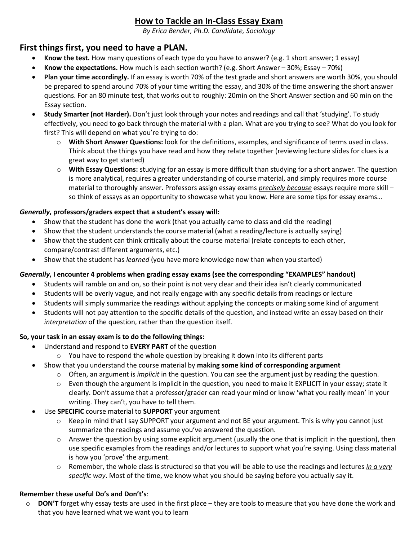# **How to Tackle an In-Class Essay Exam**

*By Erica Bender, Ph.D. Candidate, Sociology*

### **First things first, you need to have a PLAN.**

- **Know the test.** How many questions of each type do you have to answer? (e.g. 1 short answer; 1 essay)
- **Know the expectations.** How much is each section worth? (e.g. Short Answer 30%; Essay 70%)
- **Plan your time accordingly.** If an essay is worth 70% of the test grade and short answers are worth 30%, you should be prepared to spend around 70% of your time writing the essay, and 30% of the time answering the short answer questions. For an 80 minute test, that works out to roughly: 20min on the Short Answer section and 60 min on the Essay section.
- **Study Smarter (not Harder).** Don't just look through your notes and readings and call that 'studying'. To study effectively, you need to go back through the material with a plan. What are you trying to see? What do you look for first? This will depend on what you're trying to do:
	- o **With Short Answer Questions:** look for the definitions, examples, and significance of terms used in class. Think about the things you have read and how they relate together (reviewing lecture slides for clues is a great way to get started)
	- o **With Essay Questions:** studying for an essay is more difficult than studying for a short answer. The question is more analytical, requires a greater understanding of course material, and simply requires more course material to thoroughly answer. Professors assign essay exams *precisely because* essays require more skill – so think of essays as an opportunity to showcase what you know. Here are some tips for essay exams…

#### *Generally***, professors/graders expect that a student's essay will:**

- Show that the student has done the work (that you actually came to class and did the reading)
- Show that the student understands the course material (what a reading/lecture is actually saying)
- Show that the student can think critically about the course material (relate concepts to each other, compare/contrast different arguments, etc.)
- Show that the student has *learned* (you have more knowledge now than when you started)

#### *Generally***, I encounter 4 problems when grading essay exams (see the corresponding "EXAMPLES" handout)**

- Students will ramble on and on, so their point is not very clear and their idea isn't clearly communicated
- Students will be overly vague, and not really engage with any specific details from readings or lecture
- Students will simply summarize the readings without applying the concepts or making some kind of argument
- Students will not pay attention to the specific details of the question, and instead write an essay based on their *interpretation* of the question, rather than the question itself.

#### **So, your task in an essay exam is to do the following things:**

- Understand and respond to **EVERY PART** of the question
	- $\circ$  You have to respond the whole question by breaking it down into its different parts
- Show that you understand the course material by **making some kind of corresponding argument** 
	- o Often, an argument is *implicit* in the question. You can see the argument just by reading the question.
	- o Even though the argument is implicit in the question, you need to make it EXPLICIT in your essay; state it clearly. Don't assume that a professor/grader can read your mind or know 'what you really mean' in your writing. They can't, you have to tell them.
- Use **SPECIFIC** course material to **SUPPORT** your argument
	- o Keep in mind that I say SUPPORT your argument and not BE your argument. This is why you cannot just summarize the readings and assume you've answered the question.
	- o Answer the question by using some explicit argument (usually the one that is implicit in the question), then use specific examples from the readings and/or lectures to support what you're saying. Using class material is how you 'prove' the argument.
	- o Remember, the whole class is structured so that you will be able to use the readings and lectures *in a very specific way*. Most of the time, we know what you should be saying before you actually say it.

#### **Remember these useful Do's and Don't's**:

o **DON'T** forget why essay tests are used in the first place – they are tools to measure that you have done the work and that you have learned what we want you to learn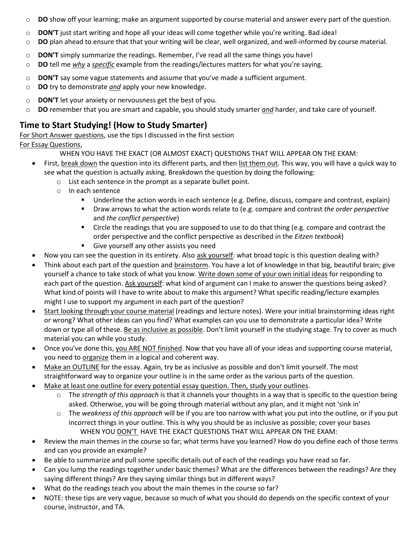- o **DO** show off your learning; make an argument supported by course material and answer every part of the question.
- o **DON'T** just start writing and hope all your ideas will come together while you're writing. Bad idea!
- o **DO** plan ahead to ensure that that your writing will be clear, well organized, and well-informed by course material.
- o **DON'T** simply summarize the readings. Remember, I've read all the same things you have!
- o **DO** tell me *why* a *specific* example from the readings/lectures matters for what you're saying.
- o **DON'T** say some vague statements and assume that you've made a sufficient argument*.*
- o **DO** try to demonstrate *and* apply your new knowledge.
- o **DON'T** let your anxiety or nervousness get the best of you.
- o **DO** remember that you are smart and capable, you should study smarter *and* harder, and take care of yourself.

### **Time to Start Studying! (How to Study Smarter)**

For Short Answer questions, use the tips I discussed in the first section

#### For Essay Questions,

WHEN YOU HAVE THE EXACT (OR ALMOST EXACT) QUESTIONS THAT WILL APPEAR ON THE EXAM:

- First, break down the question into its different parts, and then list them out. This way, you will have a quick way to see what the question is actually asking. Breakdown the question by doing the following:
	- o List each sentence in the prompt as a separate bullet point.
	- o In each sentence
		- Underline the action words in each sentence (e.g. Define, discuss, compare and contrast, explain)
		- Draw arrows to what the action words relate to (e.g. compare and contrast *the order perspective* and *the conflict perspective*)
		- **EXECT** Circle the readings that you are supposed to use to do that thing (e.g. compare and contrast the order perspective and the conflict perspective as described in the *Eitzen textbook*)
		- Give yourself any other assists you need
- Now you can see the question in its entirety. Also ask yourself: what broad topic is this question dealing with?
- Think about each part of the question and brainstorm. You have a lot of knowledge in that big, beautiful brain; give yourself a chance to take stock of what you know. Write down some of your own initial ideas for responding to each part of the question. Ask yourself: what kind of argument can I make to answer the questions being asked? What kind of points will I have to write about to make this argument? What specific reading/lecture examples might I use to support my argument in each part of the question?
- Start looking through your course material (readings and lecture notes). Were your initial brainstorming ideas right or wrong? What other ideas can you find? What examples can you use to demonstrate a particular idea? Write down or type all of these. Be as inclusive as possible. Don't limit yourself in the studying stage. Try to cover as much material you can while you study.
- Once you've done this, you ARE NOT finished. Now that you have all of your ideas and supporting course material, you need to organize them in a logical and coherent way.
- Make an OUTLINE for the essay. Again, try be as inclusive as possible and don't limit yourself. The most straightforward way to organize your outline is in the same order as the various parts of the question.
- Make at least one outline for every potential essay question. Then, study your outlines.
	- o The *strength of this approach* is that it channels your thoughts in a way that is specific to the question being asked. Otherwise, you will be going through material without any plan, and it might not 'sink in'
	- o The *weakness of this approach* will be if you are too narrow with what you put into the outline, or if you put incorrect things in your outline. This is why you should be as inclusive as possible; cover your bases WHEN YOU DON'T HAVE THE EXACT QUESTIONS THAT WILL APPEAR ON THE EXAM:
- Review the main themes in the course so far; what terms have you learned? How do you define each of those terms and can you provide an example?
- Be able to summarize and pull some specific details out of each of the readings you have read so far.
- Can you lump the readings together under basic themes? What are the differences between the readings? Are they saying different things? Are they saying similar things but in different ways?
- What do the readings teach you about the main themes in the course so far?
- NOTE: these tips are very vague, because so much of what you should do depends on the specific context of your course, instructor, and TA.